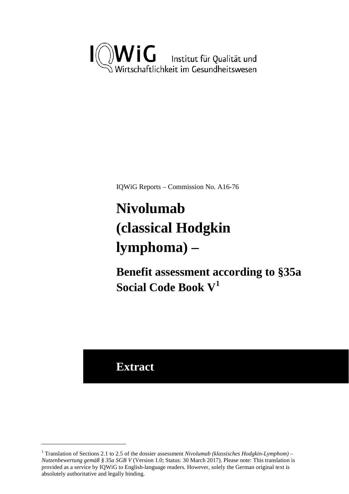

IQWiG Reports – Commission No. A16-76

# <span id="page-0-1"></span>**Nivolumab (classical Hodgkin lymphoma) –**

**Benefit assessment according to §35a Social Code Book V[1](#page-0-0)**

## **Extract**

<u>.</u>

<span id="page-0-0"></span><sup>&</sup>lt;sup>1</sup> Translation of Sections 2.1 to 2.5 of the dossier assessment *Nivolumab (klassisches Hodgkin-Lymphom)* – *Nutzenbewertung gemäß § 35a SGB V* (Version 1.0; Status: 30 March 2017). Please note: This translation is provided as a service by IQWiG to English-language readers. However, solely the German original text is absolutely authoritative and legally binding.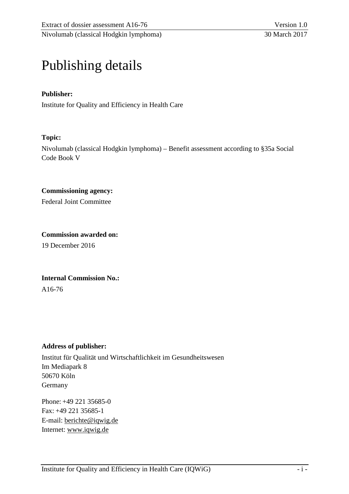## Publishing details

### **Publisher:**

Institute for Quality and Efficiency in Health Care

#### **Topic:**

Nivolumab (classical Hodgkin lymphoma) – Benefit assessment according to §35a Social Code Book V

#### **Commissioning agency:**

Federal Joint Committee

#### **Commission awarded on:**

19 December 2016

#### **Internal Commission No.:**

A16-76

#### **Address of publisher:**

Institut für Qualität und Wirtschaftlichkeit im Gesundheitswesen Im Mediapark 8 50670 Köln Germany

Phone: +49 221 35685-0 Fax: +49 221 35685-1 E-mail: [berichte@iqwig.de](mailto:berichte@iqwig.de) Internet: [www.iqwig.de](http://www.iqwig.de/)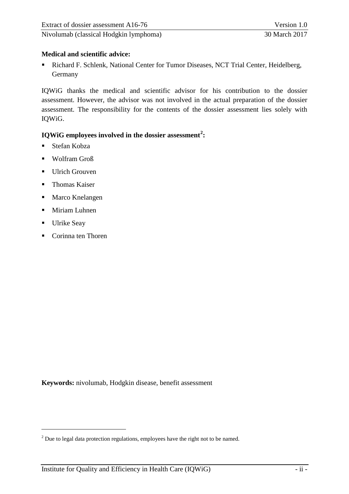## **Medical and scientific advice:**

 Richard F. Schlenk, National Center for Tumor Diseases, NCT Trial Center, Heidelberg, Germany

IQWiG thanks the medical and scientific advisor for his contribution to the dossier assessment. However, the advisor was not involved in the actual preparation of the dossier assessment. The responsibility for the contents of the dossier assessment lies solely with IQWiG.

## **IQWiG employees involved in the dossier assessment[2](#page-2-0) :**

- Stefan Kobza
- **Wolfram Groß**
- **Ulrich Grouven**
- **Thomas Kaiser**
- Marco Knelangen
- **Miriam Luhnen**
- **Ulrike Seay**

-

■ Corinna ten Thoren

**Keywords:** nivolumab, Hodgkin disease, benefit assessment

<span id="page-2-0"></span><sup>&</sup>lt;sup>2</sup> Due to legal data protection regulations, employees have the right not to be named.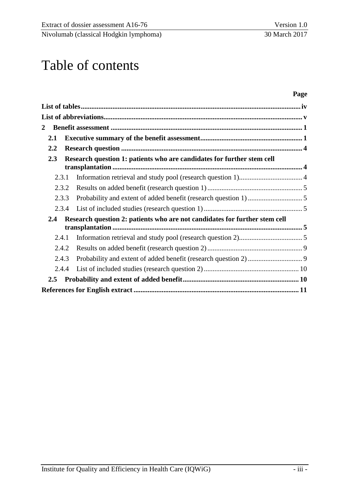## Table of contents

### **Page**

| $\overline{2}$ |  |                                                                            |  |
|----------------|--|----------------------------------------------------------------------------|--|
| 2.1            |  |                                                                            |  |
| $2.2\,$        |  |                                                                            |  |
| 2.3            |  | Research question 1: patients who are candidates for further stem cell     |  |
| 2.3.1          |  |                                                                            |  |
| 2.3.2          |  |                                                                            |  |
| 2.3.3          |  |                                                                            |  |
| 2.3.4          |  |                                                                            |  |
| 2.4            |  | Research question 2: patients who are not candidates for further stem cell |  |
| 2.4.1          |  |                                                                            |  |
| 2.4.2          |  |                                                                            |  |
| 2.4.3          |  |                                                                            |  |
| 2.4.4          |  |                                                                            |  |
| $2.5\,$        |  |                                                                            |  |
|                |  |                                                                            |  |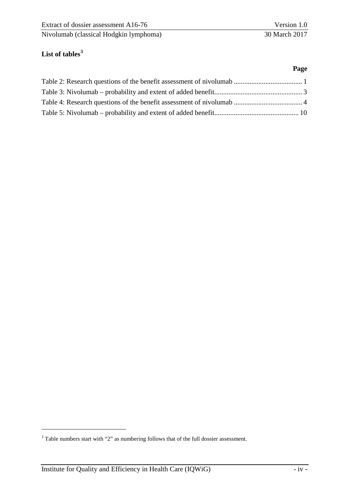## <span id="page-4-0"></span>**List of tables[3](#page-4-1)**

-

#### **Page**

<span id="page-4-1"></span><sup>&</sup>lt;sup>3</sup> Table numbers start with "2" as numbering follows that of the full dossier assessment.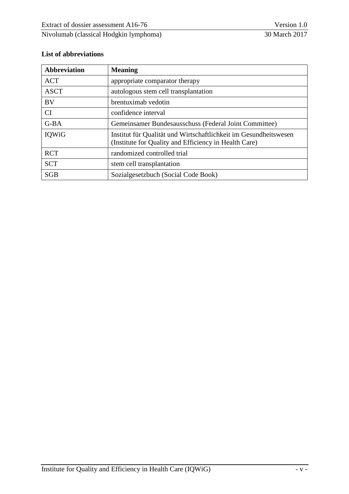## <span id="page-5-0"></span>**List of abbreviations**

| <b>Abbreviation</b>                                 | <b>Meaning</b>                                                                                                            |
|-----------------------------------------------------|---------------------------------------------------------------------------------------------------------------------------|
| <b>ACT</b>                                          | appropriate comparator therapy                                                                                            |
| <b>ASCT</b><br>autologous stem cell transplantation |                                                                                                                           |
| <b>BV</b>                                           | brentuximab vedotin                                                                                                       |
| <b>CI</b>                                           | confidence interval                                                                                                       |
| G-BA                                                | Gemeinsamer Bundesausschuss (Federal Joint Committee)                                                                     |
| IQWiG                                               | Institut für Qualität und Wirtschaftlichkeit im Gesundheitswesen<br>(Institute for Quality and Efficiency in Health Care) |
| <b>RCT</b>                                          | randomized controlled trial                                                                                               |
| <b>SCT</b>                                          | stem cell transplantation                                                                                                 |
| <b>SGB</b>                                          | Sozialgesetzbuch (Social Code Book)                                                                                       |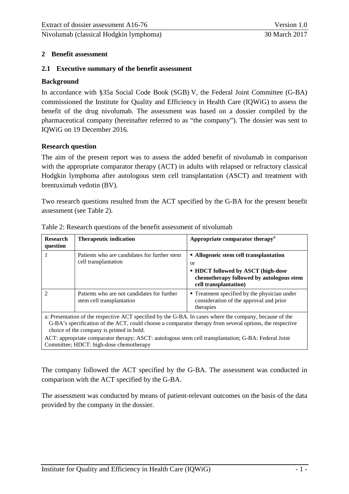#### <span id="page-6-0"></span>**2 Benefit assessment**

#### <span id="page-6-1"></span>**2.1 Executive summary of the benefit assessment**

#### **Background**

In accordance with §35a Social Code Book (SGB) V, the Federal Joint Committee (G-BA) commissioned the Institute for Quality and Efficiency in Health Care (IQWiG) to assess the benefit of the drug nivolumab. The assessment was based on a dossier compiled by the pharmaceutical company (hereinafter referred to as "the company"). The dossier was sent to IQWiG on 19 December 2016.

#### **Research question**

The aim of the present report was to assess the added benefit of nivolumab in comparison with the appropriate comparator therapy (ACT) in adults with relapsed or refractory classical Hodgkin lymphoma after autologous stem cell transplantation (ASCT) and treatment with brentuximab vedotin (BV).

Two research questions resulted from the ACT specified by the G-BA for the present benefit assessment (see [Table 2\)](#page-6-2).

| <b>Research</b><br>question                                                                                                                                                                                                                                                                                                                                                                                        | <b>Therapeutic indication</b>                                            | Appropriate comparator therapy <sup>a</sup>                                                                                                                    |  |  |
|--------------------------------------------------------------------------------------------------------------------------------------------------------------------------------------------------------------------------------------------------------------------------------------------------------------------------------------------------------------------------------------------------------------------|--------------------------------------------------------------------------|----------------------------------------------------------------------------------------------------------------------------------------------------------------|--|--|
|                                                                                                                                                                                                                                                                                                                                                                                                                    | Patients who are candidates for further stem<br>cell transplantation     | • Allogeneic stem cell transplantation<br><b>or</b><br>• HDCT followed by ASCT (high-dose<br>chemotherapy followed by autologous stem<br>cell transplantation) |  |  |
|                                                                                                                                                                                                                                                                                                                                                                                                                    | Patients who are not candidates for further<br>stem cell transplantation | • Treatment specified by the physician under<br>consideration of the approval and prior<br>therapies                                                           |  |  |
| a: Presentation of the respective ACT specified by the G-BA. In cases where the company, because of the<br>G-BA's specification of the ACT, could choose a comparator therapy from several options, the respective<br>choice of the company is printed in bold.<br>ACT: appropriate comparator therapy; ASCT: autologous stem cell transplantation; G-BA: Federal Joint<br>Committee; HDCT: high-dose chemotherapy |                                                                          |                                                                                                                                                                |  |  |

<span id="page-6-2"></span>Table 2: Research questions of the benefit assessment of nivolumab

The company followed the ACT specified by the G-BA. The assessment was conducted in comparison with the ACT specified by the G-BA.

The assessment was conducted by means of patient-relevant outcomes on the basis of the data provided by the company in the dossier.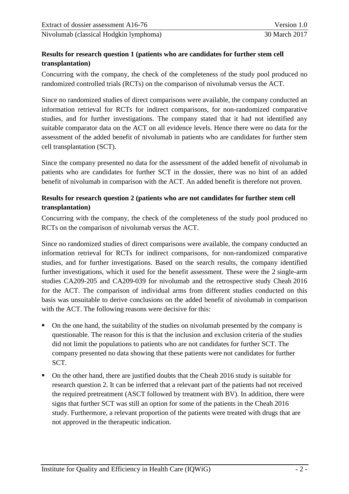## **Results for research question 1 (patients who are candidates for further stem cell transplantation)**

Concurring with the company, the check of the completeness of the study pool produced no randomized controlled trials (RCTs) on the comparison of nivolumab versus the ACT.

Since no randomized studies of direct comparisons were available, the company conducted an information retrieval for RCTs for indirect comparisons, for non-randomized comparative studies, and for further investigations. The company stated that it had not identified any suitable comparator data on the ACT on all evidence levels. Hence there were no data for the assessment of the added benefit of nivolumab in patients who are candidates for further stem cell transplantation (SCT).

Since the company presented no data for the assessment of the added benefit of nivolumab in patients who are candidates for further SCT in the dossier, there was no hint of an added benefit of nivolumab in comparison with the ACT. An added benefit is therefore not proven.

## **Results for research question 2 (patients who are not candidates for further stem cell transplantation)**

Concurring with the company, the check of the completeness of the study pool produced no RCTs on the comparison of nivolumab versus the ACT.

Since no randomized studies of direct comparisons were available, the company conducted an information retrieval for RCTs for indirect comparisons, for non-randomized comparative studies, and for further investigations. Based on the search results, the company identified further investigations, which it used for the benefit assessment. These were the 2 single-arm studies CA209-205 and CA209-039 for nivolumab and the retrospective study Cheah 2016 for the ACT. The comparison of individual arms from different studies conducted on this basis was unsuitable to derive conclusions on the added benefit of nivolumab in comparison with the ACT. The following reasons were decisive for this:

- On the one hand, the suitability of the studies on nivolumab presented by the company is questionable. The reason for this is that the inclusion and exclusion criteria of the studies did not limit the populations to patients who are not candidates for further SCT. The company presented no data showing that these patients were not candidates for further SCT.
- On the other hand, there are justified doubts that the Cheah 2016 study is suitable for research question 2. It can be inferred that a relevant part of the patients had not received the required pretreatment (ASCT followed by treatment with BV). In addition, there were signs that further SCT was still an option for some of the patients in the Cheah 2016 study. Furthermore, a relevant proportion of the patients were treated with drugs that are not approved in the therapeutic indication.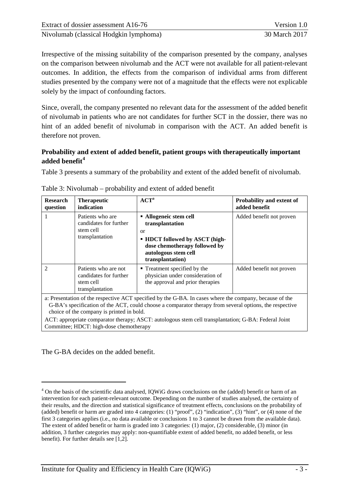Irrespective of the missing suitability of the comparison presented by the company, analyses on the comparison between nivolumab and the ACT were not available for all patient-relevant outcomes. In addition, the effects from the comparison of individual arms from different studies presented by the company were not of a magnitude that the effects were not explicable solely by the impact of confounding factors.

Since, overall, the company presented no relevant data for the assessment of the added benefit of nivolumab in patients who are not candidates for further SCT in the dossier, there was no hint of an added benefit of nivolumab in comparison with the ACT. An added benefit is therefore not proven.

## **Probability and extent of added benefit, patient groups with therapeutically important added benefit[4](#page-8-1)**

[Table 3](#page-8-0) presents a summary of the probability and extent of the added benefit of nivolumab.

| <b>Research</b><br>question                                                                                                                                                                                                                                                                                                                                                                                        | <b>Therapeutic</b><br>indication                                               | ${ACT}^a$                                                                                                                                                                 | <b>Probability and extent of</b><br>added benefit |
|--------------------------------------------------------------------------------------------------------------------------------------------------------------------------------------------------------------------------------------------------------------------------------------------------------------------------------------------------------------------------------------------------------------------|--------------------------------------------------------------------------------|---------------------------------------------------------------------------------------------------------------------------------------------------------------------------|---------------------------------------------------|
|                                                                                                                                                                                                                                                                                                                                                                                                                    | Patients who are<br>candidates for further<br>stem cell<br>transplantation     | • Allogeneic stem cell<br>transplantation<br>$\alpha$<br><b>HDCT</b> followed by ASCT (high-<br>dose chemotherapy followed by<br>autologous stem cell<br>transplantation) | Added benefit not proven                          |
| $\mathfrak{D}$                                                                                                                                                                                                                                                                                                                                                                                                     | Patients who are not<br>candidates for further<br>stem cell<br>transplantation | ■ Treatment specified by the<br>physician under consideration of<br>the approval and prior therapies                                                                      | Added benefit not proven                          |
| a: Presentation of the respective ACT specified by the G-BA. In cases where the company, because of the<br>G-BA's specification of the ACT, could choose a comparator therapy from several options, the respective<br>choice of the company is printed in bold.<br>ACT: appropriate comparator therapy; ASCT: autologous stem cell transplantation; G-BA: Federal Joint<br>Committee; HDCT: high-dose chemotherapy |                                                                                |                                                                                                                                                                           |                                                   |

<span id="page-8-0"></span>

The G-BA decides on the added benefit.

-

<span id="page-8-1"></span><sup>&</sup>lt;sup>4</sup> On the basis of the scientific data analysed, IQWiG draws conclusions on the (added) benefit or harm of an intervention for each patient-relevant outcome. Depending on the number of studies analysed, the certainty of their results, and the direction and statistical significance of treatment effects, conclusions on the probability of (added) benefit or harm are graded into 4 categories: (1) "proof", (2) "indication", (3) "hint", or (4) none of the first 3 categories applies (i.e., no data available or conclusions 1 to 3 cannot be drawn from the available data). The extent of added benefit or harm is graded into 3 categories: (1) major, (2) considerable, (3) minor (in addition, 3 further categories may apply: non-quantifiable extent of added benefit, no added benefit, or less benefit). For further details see [1,2].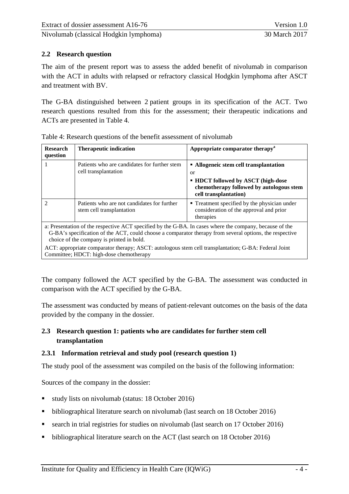## <span id="page-9-0"></span>**2.2 Research question**

The aim of the present report was to assess the added benefit of nivolumab in comparison with the ACT in adults with relapsed or refractory classical Hodgkin lymphoma after ASCT and treatment with BV.

The G-BA distinguished between 2 patient groups in its specification of the ACT. Two research questions resulted from this for the assessment; their therapeutic indications and ACTs are presented in [Table 4.](#page-9-3)

| <b>Research</b><br>question                                                                                                                                                                                                                                                                                                                                                                                        | <b>Therapeutic indication</b>                                            | Appropriate comparator therapy <sup>a</sup>                                                                                                                             |  |  |
|--------------------------------------------------------------------------------------------------------------------------------------------------------------------------------------------------------------------------------------------------------------------------------------------------------------------------------------------------------------------------------------------------------------------|--------------------------------------------------------------------------|-------------------------------------------------------------------------------------------------------------------------------------------------------------------------|--|--|
|                                                                                                                                                                                                                                                                                                                                                                                                                    | Patients who are candidates for further stem<br>cell transplantation     | • Allogeneic stem cell transplantation<br><sub>or</sub><br><b>HDCT</b> followed by ASCT (high-dose<br>chemotherapy followed by autologous stem<br>cell transplantation) |  |  |
| 2                                                                                                                                                                                                                                                                                                                                                                                                                  | Patients who are not candidates for further<br>stem cell transplantation | • Treatment specified by the physician under<br>consideration of the approval and prior<br>therapies                                                                    |  |  |
| a: Presentation of the respective ACT specified by the G-BA. In cases where the company, because of the<br>G-BA's specification of the ACT, could choose a comparator therapy from several options, the respective<br>choice of the company is printed in bold.<br>ACT: appropriate comparator therapy; ASCT: autologous stem cell transplantation; G-BA: Federal Joint<br>Committee; HDCT: high-dose chemotherapy |                                                                          |                                                                                                                                                                         |  |  |

<span id="page-9-3"></span>Table 4: Research questions of the benefit assessment of nivolumab

The company followed the ACT specified by the G-BA. The assessment was conducted in comparison with the ACT specified by the G-BA.

The assessment was conducted by means of patient-relevant outcomes on the basis of the data provided by the company in the dossier.

## <span id="page-9-1"></span>**2.3 Research question 1: patients who are candidates for further stem cell transplantation**

#### <span id="page-9-2"></span>**2.3.1 Information retrieval and study pool (research question 1)**

The study pool of the assessment was compiled on the basis of the following information:

Sources of the company in the dossier:

- study lists on nivolumab (status: 18 October 2016)
- bibliographical literature search on nivolumab (last search on 18 October 2016)
- search in trial registries for studies on nivolumab (last search on 17 October 2016)
- bibliographical literature search on the ACT (last search on 18 October 2016)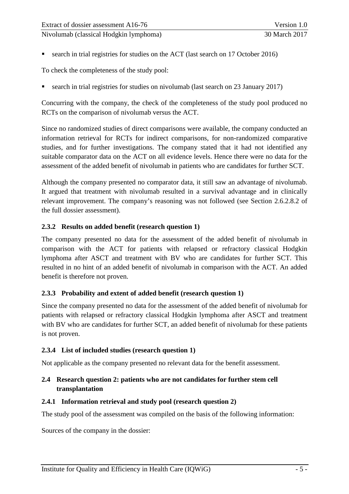search in trial registries for studies on the ACT (last search on 17 October 2016)

To check the completeness of the study pool:

■ search in trial registries for studies on nivolumab (last search on 23 January 2017)

Concurring with the company, the check of the completeness of the study pool produced no RCTs on the comparison of nivolumab versus the ACT.

Since no randomized studies of direct comparisons were available, the company conducted an information retrieval for RCTs for indirect comparisons, for non-randomized comparative studies, and for further investigations. The company stated that it had not identified any suitable comparator data on the ACT on all evidence levels. Hence there were no data for the assessment of the added benefit of nivolumab in patients who are candidates for further SCT.

Although the company presented no comparator data, it still saw an advantage of nivolumab. It argued that treatment with nivolumab resulted in a survival advantage and in clinically relevant improvement. The company's reasoning was not followed (see Section 2.6.2.8.2 of the full dossier assessment).

#### <span id="page-10-0"></span>**2.3.2 Results on added benefit (research question 1)**

The company presented no data for the assessment of the added benefit of nivolumab in comparison with the ACT for patients with relapsed or refractory classical Hodgkin lymphoma after ASCT and treatment with BV who are candidates for further SCT. This resulted in no hint of an added benefit of nivolumab in comparison with the ACT. An added benefit is therefore not proven.

## <span id="page-10-1"></span>**2.3.3 Probability and extent of added benefit (research question 1)**

Since the company presented no data for the assessment of the added benefit of nivolumab for patients with relapsed or refractory classical Hodgkin lymphoma after ASCT and treatment with BV who are candidates for further SCT, an added benefit of nivolumab for these patients is not proven.

## <span id="page-10-2"></span>**2.3.4 List of included studies (research question 1)**

Not applicable as the company presented no relevant data for the benefit assessment.

## <span id="page-10-3"></span>**2.4 Research question 2: patients who are not candidates for further stem cell transplantation**

#### <span id="page-10-4"></span>**2.4.1 Information retrieval and study pool (research question 2)**

The study pool of the assessment was compiled on the basis of the following information:

Sources of the company in the dossier: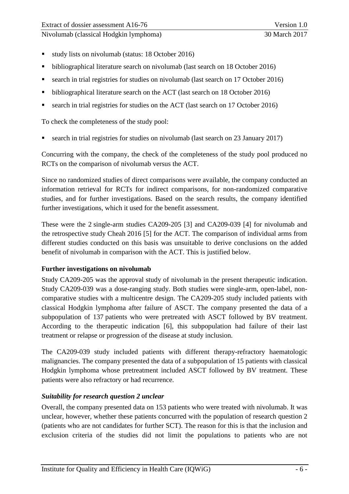- study lists on nivolumab (status: 18 October 2016)
- bibliographical literature search on nivolumab (last search on 18 October 2016)
- search in trial registries for studies on nivolumab (last search on 17 October 2016)
- bibliographical literature search on the ACT (last search on 18 October 2016)
- search in trial registries for studies on the ACT (last search on 17 October 2016)

To check the completeness of the study pool:

search in trial registries for studies on nivolumab (last search on 23 January 2017)

Concurring with the company, the check of the completeness of the study pool produced no RCTs on the comparison of nivolumab versus the ACT.

Since no randomized studies of direct comparisons were available, the company conducted an information retrieval for RCTs for indirect comparisons, for non-randomized comparative studies, and for further investigations. Based on the search results, the company identified further investigations, which it used for the benefit assessment.

These were the 2 single-arm studies CA209-205 [3] and CA209-039 [4] for nivolumab and the retrospective study Cheah 2016 [5] for the ACT. The comparison of individual arms from different studies conducted on this basis was unsuitable to derive conclusions on the added benefit of nivolumab in comparison with the ACT. This is justified below.

#### **Further investigations on nivolumab**

Study CA209-205 was the approval study of nivolumab in the present therapeutic indication. Study CA209-039 was a dose-ranging study. Both studies were single-arm, open-label, noncomparative studies with a multicentre design. The CA209-205 study included patients with classical Hodgkin lymphoma after failure of ASCT. The company presented the data of a subpopulation of 137 patients who were pretreated with ASCT followed by BV treatment. According to the therapeutic indication [6], this subpopulation had failure of their last treatment or relapse or progression of the disease at study inclusion.

The CA209-039 study included patients with different therapy-refractory haematologic malignancies. The company presented the data of a subpopulation of 15 patients with classical Hodgkin lymphoma whose pretreatment included ASCT followed by BV treatment. These patients were also refractory or had recurrence.

## *Suitability for research question 2 unclear*

Overall, the company presented data on 153 patients who were treated with nivolumab. It was unclear, however, whether these patients concurred with the population of research question 2 (patients who are not candidates for further SCT). The reason for this is that the inclusion and exclusion criteria of the studies did not limit the populations to patients who are not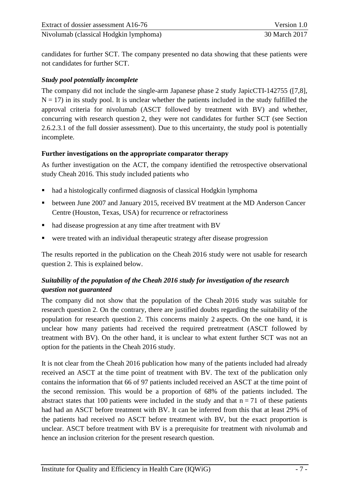candidates for further SCT. The company presented no data showing that these patients were not candidates for further SCT.

### *Study pool potentially incomplete*

The company did not include the single-arm Japanese phase 2 study JapicCTI-142755 ([7,8],  $N = 17$ ) in its study pool. It is unclear whether the patients included in the study fulfilled the approval criteria for nivolumab (ASCT followed by treatment with BV) and whether, concurring with research question 2, they were not candidates for further SCT (see Section 2.6.2.3.1 of the full dossier assessment). Due to this uncertainty, the study pool is potentially incomplete.

#### **Further investigations on the appropriate comparator therapy**

As further investigation on the ACT, the company identified the retrospective observational study Cheah 2016. This study included patients who

- had a histologically confirmed diagnosis of classical Hodgkin lymphoma
- between June 2007 and January 2015, received BV treatment at the MD Anderson Cancer Centre (Houston, Texas, USA) for recurrence or refractoriness
- had disease progression at any time after treatment with BV
- were treated with an individual therapeutic strategy after disease progression

The results reported in the publication on the Cheah 2016 study were not usable for research question 2. This is explained below.

## *Suitability of the population of the Cheah 2016 study for investigation of the research question not guaranteed*

The company did not show that the population of the Cheah 2016 study was suitable for research question 2. On the contrary, there are justified doubts regarding the suitability of the population for research question 2. This concerns mainly 2 aspects. On the one hand, it is unclear how many patients had received the required pretreatment (ASCT followed by treatment with BV). On the other hand, it is unclear to what extent further SCT was not an option for the patients in the Cheah 2016 study.

It is not clear from the Cheah 2016 publication how many of the patients included had already received an ASCT at the time point of treatment with BV. The text of the publication only contains the information that 66 of 97 patients included received an ASCT at the time point of the second remission. This would be a proportion of 68% of the patients included. The abstract states that 100 patients were included in the study and that  $n = 71$  of these patients had had an ASCT before treatment with BV. It can be inferred from this that at least 29% of the patients had received no ASCT before treatment with BV, but the exact proportion is unclear. ASCT before treatment with BV is a prerequisite for treatment with nivolumab and hence an inclusion criterion for the present research question.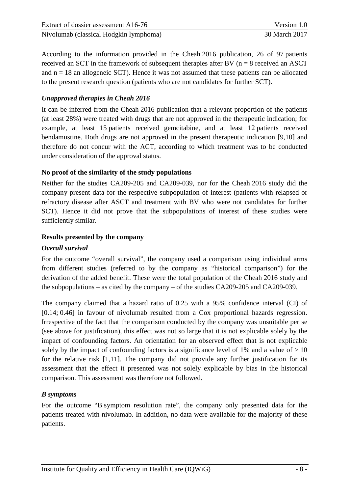| Extract of dossier assessment A16-76   | Version 1.0   |
|----------------------------------------|---------------|
| Nivolumab (classical Hodgkin lymphoma) | 30 March 2017 |

According to the information provided in the Cheah 2016 publication, 26 of 97 patients received an SCT in the framework of subsequent therapies after BV ( $n = 8$  received an ASCT and  $n = 18$  an allogeneic SCT). Hence it was not assumed that these patients can be allocated to the present research question (patients who are not candidates for further SCT).

### *Unapproved therapies in Cheah 2016*

It can be inferred from the Cheah 2016 publication that a relevant proportion of the patients (at least 28%) were treated with drugs that are not approved in the therapeutic indication; for example, at least 15 patients received gemcitabine, and at least 12 patients received bendamustine. Both drugs are not approved in the present therapeutic indication [9,10] and therefore do not concur with the ACT, according to which treatment was to be conducted under consideration of the approval status.

#### **No proof of the similarity of the study populations**

Neither for the studies CA209-205 and CA209-039, nor for the Cheah 2016 study did the company present data for the respective subpopulation of interest (patients with relapsed or refractory disease after ASCT and treatment with BV who were not candidates for further SCT). Hence it did not prove that the subpopulations of interest of these studies were sufficiently similar.

#### **Results presented by the company**

#### *Overall survival*

For the outcome "overall survival", the company used a comparison using individual arms from different studies (referred to by the company as "historical comparison") for the derivation of the added benefit. These were the total population of the Cheah 2016 study and the subpopulations – as cited by the company – of the studies CA209-205 and CA209-039.

The company claimed that a hazard ratio of 0.25 with a 95% confidence interval (CI) of [0.14; 0.46] in favour of nivolumab resulted from a Cox proportional hazards regression. Irrespective of the fact that the comparison conducted by the company was unsuitable per se (see above for justification), this effect was not so large that it is not explicable solely by the impact of confounding factors. An orientation for an observed effect that is not explicable solely by the impact of confounding factors is a significance level of 1% and a value of  $> 10$ for the relative risk [1,11]. The company did not provide any further justification for its assessment that the effect it presented was not solely explicable by bias in the historical comparison. This assessment was therefore not followed.

## *B symptoms*

For the outcome "B symptom resolution rate", the company only presented data for the patients treated with nivolumab. In addition, no data were available for the majority of these patients.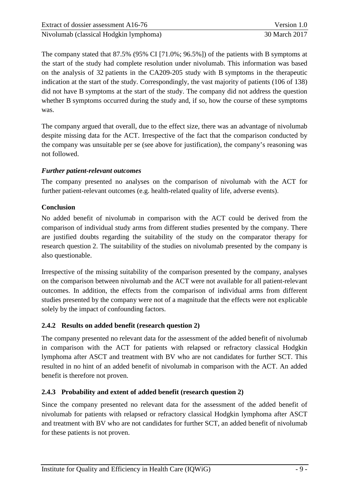The company stated that 87.5% (95% CI [71.0%; 96.5%]) of the patients with B symptoms at the start of the study had complete resolution under nivolumab. This information was based on the analysis of 32 patients in the CA209-205 study with B symptoms in the therapeutic indication at the start of the study. Correspondingly, the vast majority of patients (106 of 138) did not have B symptoms at the start of the study. The company did not address the question whether B symptoms occurred during the study and, if so, how the course of these symptoms was.

The company argued that overall, due to the effect size, there was an advantage of nivolumab despite missing data for the ACT. Irrespective of the fact that the comparison conducted by the company was unsuitable per se (see above for justification), the company's reasoning was not followed.

## *Further patient-relevant outcomes*

The company presented no analyses on the comparison of nivolumab with the ACT for further patient-relevant outcomes (e.g. health-related quality of life, adverse events).

## **Conclusion**

No added benefit of nivolumab in comparison with the ACT could be derived from the comparison of individual study arms from different studies presented by the company. There are justified doubts regarding the suitability of the study on the comparator therapy for research question 2. The suitability of the studies on nivolumab presented by the company is also questionable.

Irrespective of the missing suitability of the comparison presented by the company, analyses on the comparison between nivolumab and the ACT were not available for all patient-relevant outcomes. In addition, the effects from the comparison of individual arms from different studies presented by the company were not of a magnitude that the effects were not explicable solely by the impact of confounding factors.

## <span id="page-14-0"></span>**2.4.2 Results on added benefit (research question 2)**

The company presented no relevant data for the assessment of the added benefit of nivolumab in comparison with the ACT for patients with relapsed or refractory classical Hodgkin lymphoma after ASCT and treatment with BV who are not candidates for further SCT. This resulted in no hint of an added benefit of nivolumab in comparison with the ACT. An added benefit is therefore not proven.

## <span id="page-14-1"></span>**2.4.3 Probability and extent of added benefit (research question 2)**

Since the company presented no relevant data for the assessment of the added benefit of nivolumab for patients with relapsed or refractory classical Hodgkin lymphoma after ASCT and treatment with BV who are not candidates for further SCT, an added benefit of nivolumab for these patients is not proven.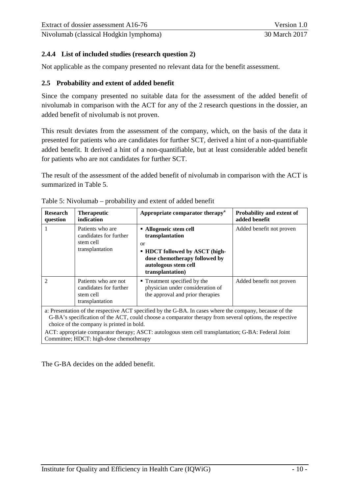## <span id="page-15-0"></span>**2.4.4 List of included studies (research question 2)**

Not applicable as the company presented no relevant data for the benefit assessment.

### <span id="page-15-1"></span>**2.5 Probability and extent of added benefit**

Since the company presented no suitable data for the assessment of the added benefit of nivolumab in comparison with the ACT for any of the 2 research questions in the dossier, an added benefit of nivolumab is not proven.

This result deviates from the assessment of the company, which, on the basis of the data it presented for patients who are candidates for further SCT, derived a hint of a non-quantifiable added benefit. It derived a hint of a non-quantifiable, but at least considerable added benefit for patients who are not candidates for further SCT.

The result of the assessment of the added benefit of nivolumab in comparison with the ACT is summarized in [Table 5.](#page-15-2)

| <b>Research</b><br>question | <b>Therapeutic</b><br>indication                                                     | Appropriate comparator therapy <sup>a</sup>                                                                                                                                                                                                                                                                                | Probability and extent of<br>added benefit |
|-----------------------------|--------------------------------------------------------------------------------------|----------------------------------------------------------------------------------------------------------------------------------------------------------------------------------------------------------------------------------------------------------------------------------------------------------------------------|--------------------------------------------|
|                             | Patients who are<br>candidates for further<br>stem cell<br>transplantation           | • Allogeneic stem cell<br>transplantation<br>$\alpha$<br><b>- HDCT</b> followed by ASCT (high-<br>dose chemotherapy followed by<br>autologous stem cell<br>transplantation)                                                                                                                                                | Added benefit not proven                   |
| $\mathfrak{D}$              | Patients who are not<br>candidates for further<br>stem cell<br>transplantation       | ■ Treatment specified by the<br>physician under consideration of<br>the approval and prior therapies                                                                                                                                                                                                                       | Added benefit not proven                   |
|                             | choice of the company is printed in bold.<br>Committee; HDCT: high-dose chemotherapy | a: Presentation of the respective ACT specified by the G-BA. In cases where the company, because of the<br>G-BA's specification of the ACT, could choose a comparator therapy from several options, the respective<br>ACT: appropriate comparator therapy; ASCT: autologous stem cell transplantation; G-BA: Federal Joint |                                            |

<span id="page-15-2"></span>

The G-BA decides on the added benefit.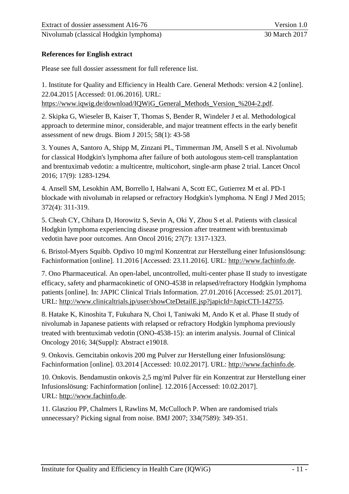## <span id="page-16-0"></span>**References for English extract**

Please see full dossier assessment for full reference list.

1. Institute for Quality and Efficiency in Health Care. General Methods: version 4.2 [online]. 22.04.2015 [Accessed: 01.06.2016]. URL: https://www.iqwig.de/download/IQWiG\_General\_Methods\_Version\_%204-2.pdf.

2. Skipka G, Wieseler B, Kaiser T, Thomas S, Bender R, Windeler J et al. Methodological approach to determine minor, considerable, and major treatment effects in the early benefit assessment of new drugs. Biom J 2015; 58(1): 43-58

3. Younes A, Santoro A, Shipp M, Zinzani PL, Timmerman JM, Ansell S et al. Nivolumab for classical Hodgkin's lymphoma after failure of both autologous stem-cell transplantation and brentuximab vedotin: a multicentre, multicohort, single-arm phase 2 trial. Lancet Oncol 2016; 17(9): 1283-1294.

4. Ansell SM, Lesokhin AM, Borrello I, Halwani A, Scott EC, Gutierrez M et al. PD-1 blockade with nivolumab in relapsed or refractory Hodgkin's lymphoma. N Engl J Med 2015; 372(4): 311-319.

5. Cheah CY, Chihara D, Horowitz S, Sevin A, Oki Y, Zhou S et al. Patients with classical Hodgkin lymphoma experiencing disease progression after treatment with brentuximab vedotin have poor outcomes. Ann Oncol 2016; 27(7): 1317-1323.

6. Bristol-Myers Squibb. Opdivo 10 mg/ml Konzentrat zur Herstellung einer Infusionslösung: Fachinformation [online]. 11.2016 [Accessed: 23.11.2016]. URL: [http://www.fachinfo.de.](http://www.fachinfo.de/)

7. Ono Pharmaceutical. An open-label, uncontrolled, multi-center phase II study to investigate efficacy, safety and pharmacokinetic of ONO-4538 in relapsed/refractory Hodgkin lymphoma patients [online]. In: JAPIC Clinical Trials Information. 27.01.2016 [Accessed: 25.01.2017]. URL: [http://www.clinicaltrials.jp/user/showCteDetailE.jsp?japicId=JapicCTI-142755.](http://www.clinicaltrials.jp/user/showCteDetailE.jsp?japicId=JapicCTI-142755)

8. Hatake K, Kinoshita T, Fukuhara N, Choi I, Taniwaki M, Ando K et al. Phase II study of nivolumab in Japanese patients with relapsed or refractory Hodgkin lymphoma previously treated with brentuximab vedotin (ONO-4538-15): an interim analysis. Journal of Clinical Oncology 2016; 34(Suppl): Abstract e19018.

9. Onkovis. Gemcitabin onkovis 200 mg Pulver zur Herstellung einer Infusionslösung: Fachinformation [online]. 03.2014 [Accessed: 10.02.2017]. URL: [http://www.fachinfo.de.](http://www.fachinfo.de/)

10. Onkovis. Bendamustin onkovis 2,5 mg/ml Pulver für ein Konzentrat zur Herstellung einer Infusionslösung: Fachinformation [online]. 12.2016 [Accessed: 10.02.2017]. URL: [http://www.fachinfo.de.](http://www.fachinfo.de/)

11. Glasziou PP, Chalmers I, Rawlins M, McCulloch P. When are randomised trials unnecessary? Picking signal from noise. BMJ 2007; 334(7589): 349-351.